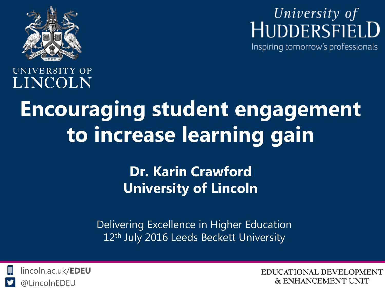

University of<br>HUDDERSFIELD

Inspiring tomorrow's professionals

UNIVERSITY OF LINCOLN

# **Encouraging student engagement to increase learning gain**

### **Dr. Karin Crawford University of Lincoln**

Delivering Excellence in Higher Education 12<sup>th</sup> July 2016 Leeds Beckett University



EDUCATIONAL DEVELOPMENT **& ENHANCEMENT UNIT**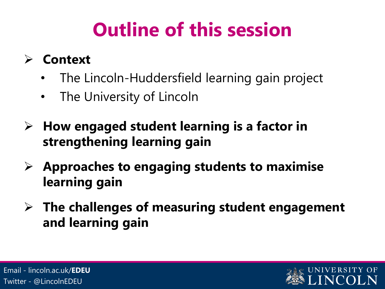# **Outline of this session**

### **Context**

- The Lincoln-Huddersfield learning gain project
- The University of Lincoln
- **How engaged student learning is a factor in strengthening learning gain**
- **Approaches to engaging students to maximise learning gain**
- **The challenges of measuring student engagement and learning gain**

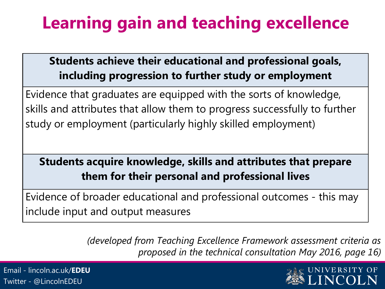## **Learning gain and teaching excellence**

#### **Students achieve their educational and professional goals, including progression to further study or employment**

Evidence that graduates are equipped with the sorts of knowledge, skills and attributes that allow them to progress successfully to further study or employment (particularly highly skilled employment)

#### **Students acquire knowledge, skills and attributes that prepare them for their personal and professional lives**

Evidence of broader educational and professional outcomes - this may include input and output measures

> *(developed from Teaching Excellence Framework assessment criteria as proposed in the technical consultation May 2016, page 16)*

Email - lincoln.ac.uk/**EDEU** Twitter - @LincolnEDEU

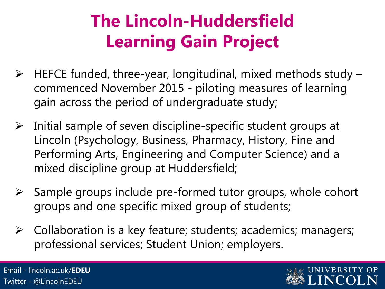## **The Lincoln-Huddersfield Learning Gain Project**

- $\triangleright$  HEFCE funded, three-year, longitudinal, mixed methods study commenced November 2015 - piloting measures of learning gain across the period of undergraduate study;
- $\triangleright$  Initial sample of seven discipline-specific student groups at Lincoln (Psychology, Business, Pharmacy, History, Fine and Performing Arts, Engineering and Computer Science) and a mixed discipline group at Huddersfield;
- $\triangleright$  Sample groups include pre-formed tutor groups, whole cohort groups and one specific mixed group of students;
- $\triangleright$  Collaboration is a key feature; students; academics; managers; professional services; Student Union; employers.

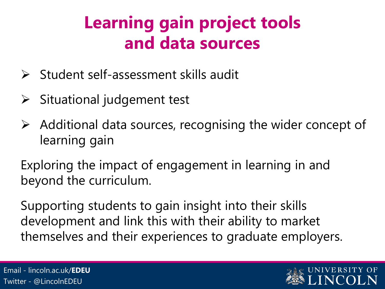## **Learning gain project tools and data sources**

- $\triangleright$  Student self-assessment skills audit
- $\triangleright$  Situational judgement test
- $\triangleright$  Additional data sources, recognising the wider concept of learning gain

Exploring the impact of engagement in learning in and beyond the curriculum.

Supporting students to gain insight into their skills development and link this with their ability to market themselves and their experiences to graduate employers.

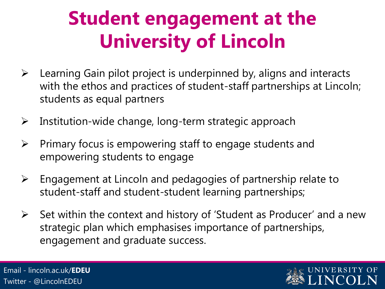## **Student engagement at the University of Lincoln**

- $\triangleright$  Learning Gain pilot project is underpinned by, aligns and interacts with the ethos and practices of student-staff partnerships at Lincoln; students as equal partners
- $\triangleright$  Institution-wide change, long-term strategic approach
- $\triangleright$  Primary focus is empowering staff to engage students and empowering students to engage
- $\triangleright$  Engagement at Lincoln and pedagogies of partnership relate to student-staff and student-student learning partnerships;
- $\triangleright$  Set within the context and history of 'Student as Producer' and a new strategic plan which emphasises importance of partnerships, engagement and graduate success.

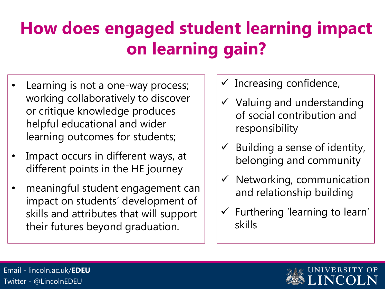## **How does engaged student learning impact on learning gain?**

- Learning is not a one-way process; working collaboratively to discover or critique knowledge produces helpful educational and wider learning outcomes for students;
- Impact occurs in different ways, at different points in the HE journey
- meaningful student engagement can impact on students' development of skills and attributes that will support their futures beyond graduation.
- $\checkmark$  Increasing confidence,
- $\checkmark$  Valuing and understanding of social contribution and responsibility
- $\checkmark$  Building a sense of identity, belonging and community
- $\checkmark$  Networking, communication and relationship building
- $\checkmark$  Furthering 'learning to learn' skills

Email - lincoln.ac.uk/**EDEU** Twitter - @LincolnEDEU

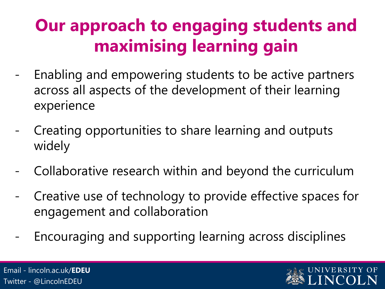## **Our approach to engaging students and maximising learning gain**

- Enabling and empowering students to be active partners across all aspects of the development of their learning experience
- Creating opportunities to share learning and outputs widely
- Collaborative research within and beyond the curriculum
- Creative use of technology to provide effective spaces for engagement and collaboration
- Encouraging and supporting learning across disciplines

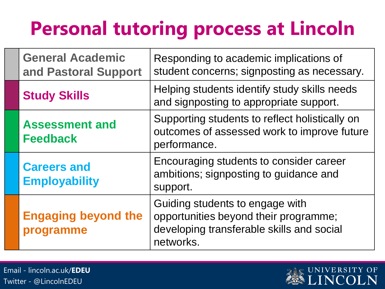# **Personal tutoring process at Lincoln**

| <b>General Academic</b><br>and Pastoral Support | Responding to academic implications of<br>student concerns; signposting as necessary.                                              |
|-------------------------------------------------|------------------------------------------------------------------------------------------------------------------------------------|
| <b>Study Skills</b>                             | Helping students identify study skills needs<br>and signposting to appropriate support.                                            |
| <b>Assessment and</b><br><b>Feedback</b>        | Supporting students to reflect holistically on<br>outcomes of assessed work to improve future<br>performance.                      |
| <b>Careers and</b><br><b>Employability</b>      | Encouraging students to consider career<br>ambitions; signposting to guidance and<br>support.                                      |
| <b>Engaging beyond the</b><br>programme         | Guiding students to engage with<br>opportunities beyond their programme;<br>developing transferable skills and social<br>networks. |

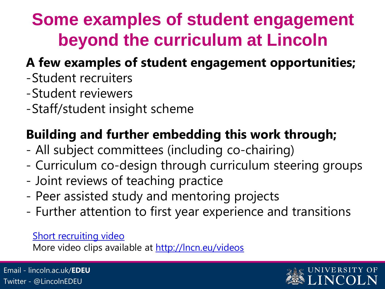## **Some examples of student engagement beyond the curriculum at Lincoln**

### **A few examples of student engagement opportunities;**

- -Student recruiters
- -Student reviewers
- -Staff/student insight scheme

### **Building and further embedding this work through;**

- All subject committees (including co-chairing)
- Curriculum co-design through curriculum steering groups
- Joint reviews of teaching practice
- Peer assisted study and mentoring projects
- Further attention to first year experience and transitions

#### [Short recruiting video](https://www.youtube.com/watch?v=OnMzY0YfkEw)

More video clips available at <http://lncn.eu/videos>

Email - lincoln.ac.uk/**EDEU** Twitter - @LincolnEDEU

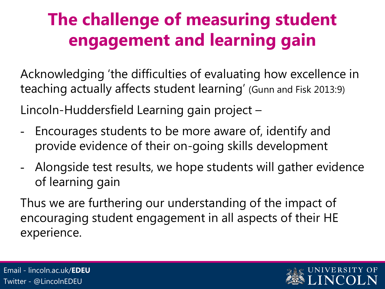## **The challenge of measuring student engagement and learning gain**

Acknowledging 'the difficulties of evaluating how excellence in teaching actually affects student learning' (Gunn and Fisk 2013:9)

Lincoln-Huddersfield Learning gain project –

- Encourages students to be more aware of, identify and provide evidence of their on-going skills development
- Alongside test results, we hope students will gather evidence of learning gain

Thus we are furthering our understanding of the impact of encouraging student engagement in all aspects of their HE experience.

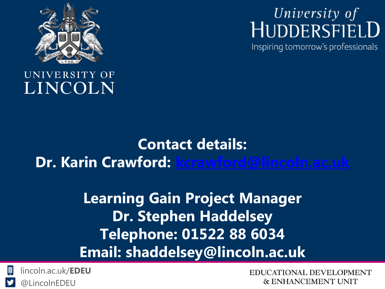

## University of HUDDERSFIELD

Inspiring tomorrow's professionals

#### UNIVERSITY OF LINCOLN

### **Contact details: Dr. Karin Crawford: [kcrawford@lincoln.ac.uk](mailto:kcrawford@lincoln.ac.uk)**

### **Learning Gain Project Manager Dr. Stephen Haddelsey Telephone: 01522 88 6034 Email: shaddelsey@lincoln.ac.uk**



**EDUCATIONAL DEVELOPMENT & ENHANCEMENT UNIT**